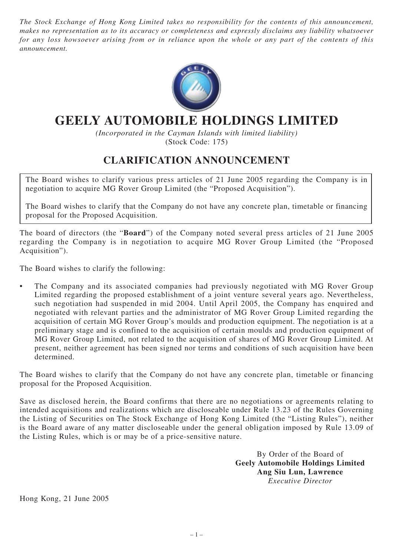*The Stock Exchange of Hong Kong Limited takes no responsibility for the contents of this announcement, makes no representation as to its accuracy or completeness and expressly disclaims any liability whatsoever for any loss howsoever arising from or in reliance upon the whole or any part of the contents of this announcement.*



## **GEELY AUTOMOBILE HOLDINGS LIMITED**

*(Incorporated in the Cayman Islands with limited liability)* (Stock Code: 175)

## **CLARIFICATION ANNOUNCEMENT**

The Board wishes to clarify various press articles of 21 June 2005 regarding the Company is in negotiation to acquire MG Rover Group Limited (the "Proposed Acquisition").

The Board wishes to clarify that the Company do not have any concrete plan, timetable or financing proposal for the Proposed Acquisition.

The board of directors (the "**Board**") of the Company noted several press articles of 21 June 2005 regarding the Company is in negotiation to acquire MG Rover Group Limited (the "Proposed Acquisition").

The Board wishes to clarify the following:

• The Company and its associated companies had previously negotiated with MG Rover Group Limited regarding the proposed establishment of a joint venture several years ago. Nevertheless, such negotiation had suspended in mid 2004. Until April 2005, the Company has enquired and negotiated with relevant parties and the administrator of MG Rover Group Limited regarding the acquisition of certain MG Rover Group's moulds and production equipment. The negotiation is at a preliminary stage and is confined to the acquisition of certain moulds and production equipment of MG Rover Group Limited, not related to the acquisition of shares of MG Rover Group Limited. At present, neither agreement has been signed nor terms and conditions of such acquisition have been determined.

The Board wishes to clarify that the Company do not have any concrete plan, timetable or financing proposal for the Proposed Acquisition.

Save as disclosed herein, the Board confirms that there are no negotiations or agreements relating to intended acquisitions and realizations which are discloseable under Rule 13.23 of the Rules Governing the Listing of Securities on The Stock Exchange of Hong Kong Limited (the "Listing Rules"), neither is the Board aware of any matter discloseable under the general obligation imposed by Rule 13.09 of the Listing Rules, which is or may be of a price-sensitive nature.

> By Order of the Board of **Geely Automobile Holdings Limited Ang Siu Lun, Lawrence** *Executive Director*

Hong Kong, 21 June 2005